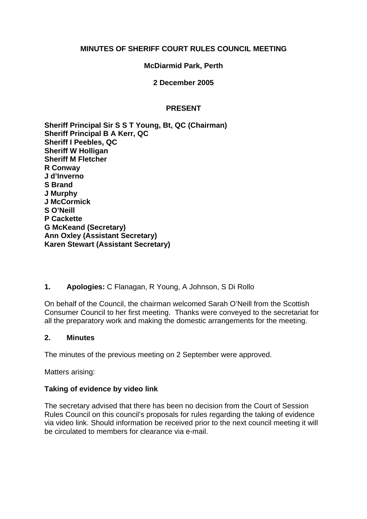### **MINUTES OF SHERIFF COURT RULES COUNCIL MEETING**

### **McDiarmid Park, Perth**

**2 December 2005** 

### **PRESENT**

**Sheriff Principal Sir S S T Young, Bt, QC (Chairman) Sheriff Principal B A Kerr, QC Sheriff I Peebles, QC Sheriff W Holligan Sheriff M Fletcher R Conway J d'Inverno S Brand J Murphy J McCormick S O'Neill P Cackette G McKeand (Secretary) Ann Oxley (Assistant Secretary) Karen Stewart (Assistant Secretary)**

# **1. Apologies:** C Flanagan, R Young, A Johnson, S Di Rollo

On behalf of the Council, the chairman welcomed Sarah O'Neill from the Scottish Consumer Council to her first meeting. Thanks were conveyed to the secretariat for all the preparatory work and making the domestic arrangements for the meeting.

### **2. Minutes**

The minutes of the previous meeting on 2 September were approved.

Matters arising:

### **Taking of evidence by video link**

The secretary advised that there has been no decision from the Court of Session Rules Council on this council's proposals for rules regarding the taking of evidence via video link. Should information be received prior to the next council meeting it will be circulated to members for clearance via e-mail.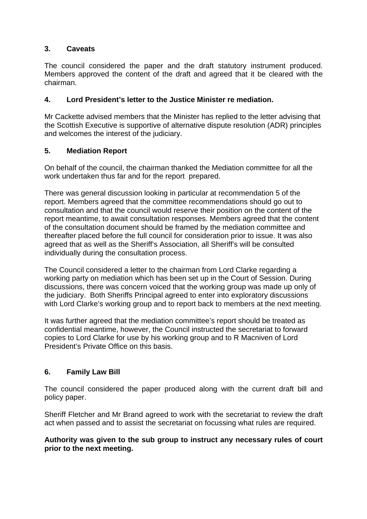# **3. Caveats**

The council considered the paper and the draft statutory instrument produced. Members approved the content of the draft and agreed that it be cleared with the chairman.

## **4. Lord President's letter to the Justice Minister re mediation.**

Mr Cackette advised members that the Minister has replied to the letter advising that the Scottish Executive is supportive of alternative dispute resolution (ADR) principles and welcomes the interest of the judiciary.

### **5. Mediation Report**

On behalf of the council, the chairman thanked the Mediation committee for all the work undertaken thus far and for the report prepared.

There was general discussion looking in particular at recommendation 5 of the report. Members agreed that the committee recommendations should go out to consultation and that the council would reserve their position on the content of the report meantime, to await consultation responses. Members agreed that the content of the consultation document should be framed by the mediation committee and thereafter placed before the full council for consideration prior to issue. It was also agreed that as well as the Sheriff's Association, all Sheriff's will be consulted individually during the consultation process.

The Council considered a letter to the chairman from Lord Clarke regarding a working party on mediation which has been set up in the Court of Session. During discussions, there was concern voiced that the working group was made up only of the judiciary. Both Sheriffs Principal agreed to enter into exploratory discussions with Lord Clarke's working group and to report back to members at the next meeting.

It was further agreed that the mediation committee's report should be treated as confidential meantime, however, the Council instructed the secretariat to forward copies to Lord Clarke for use by his working group and to R Macniven of Lord President's Private Office on this basis.

# **6. Family Law Bill**

The council considered the paper produced along with the current draft bill and policy paper.

Sheriff Fletcher and Mr Brand agreed to work with the secretariat to review the draft act when passed and to assist the secretariat on focussing what rules are required.

### **Authority was given to the sub group to instruct any necessary rules of court prior to the next meeting.**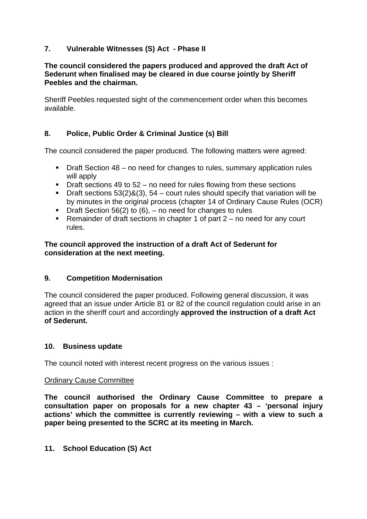# **7. Vulnerable Witnesses (S) Act - Phase II**

### **The council considered the papers produced and approved the draft Act of Sederunt when finalised may be cleared in due course jointly by Sheriff Peebles and the chairman.**

Sheriff Peebles requested sight of the commencement order when this becomes available.

# **8. Police, Public Order & Criminal Justice (s) Bill**

The council considered the paper produced. The following matters were agreed:

- Draft Section 48 no need for changes to rules, summary application rules will apply
- $\blacksquare$  Draft sections 49 to 52 no need for rules flowing from these sections
- **Draft sections 53(2)&(3), 54 court rules should specify that variation will be** by minutes in the original process (chapter 14 of Ordinary Cause Rules (OCR)
- **Draft Section 56(2) to (6), no need for changes to rules**
- Remainder of draft sections in chapter 1 of part  $2 -$  no need for any court rules.

## **The council approved the instruction of a draft Act of Sederunt for consideration at the next meeting.**

# **9. Competition Modernisation**

The council considered the paper produced. Following general discussion, it was agreed that an issue under Article 81 or 82 of the council regulation could arise in an action in the sheriff court and accordingly **approved the instruction of a draft Act of Sederunt.** 

### **10. Business update**

The council noted with interest recent progress on the various issues :

### Ordinary Cause Committee

**The council authorised the Ordinary Cause Committee to prepare a consultation paper on proposals for a new chapter 43 – 'personal injury actions' which the committee is currently reviewing – with a view to such a paper being presented to the SCRC at its meeting in March.** 

### **11. School Education (S) Act**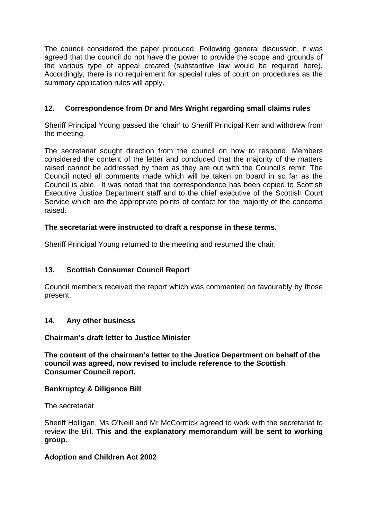The council considered the paper produced. Following general discussion, it was agreed that the council do not have the power to provide the scope and grounds of the various type of appeal created (substantive law would be required here). Accordingly, there is no requirement for special rules of court on procedures as the summary application rules will apply.

# **12. Correspondence from Dr and Mrs Wright regarding small claims rules**

Sheriff Principal Young passed the 'chair' to Sheriff Principal Kerr and withdrew from the meeting.

The secretariat sought direction from the council on how to respond. Members considered the content of the letter and concluded that the majority of the matters raised cannot be addressed by them as they are out with the Council's remit. The Council noted all comments made which will be taken on board in so far as the Council is able. It was noted that the correspondence has been copied to Scottish Executive Justice Department staff and to the chief executive of the Scottish Court Service which are the appropriate points of contact for the majority of the concerns raised.

# **The secretariat were instructed to draft a response in these terms.**

Sheriff Principal Young returned to the meeting and resumed the chair.

# **13. Scottish Consumer Council Report**

Council members received the report which was commented on favourably by those present.

# **14. Any other business**

### **Chairman's draft letter to Justice Minister**

**The content of the chairman's letter to the Justice Department on behalf of the council was agreed, now revised to include reference to the Scottish Consumer Council report.** 

### **Bankruptcy & Diligence Bill**

The secretariat

Sheriff Holligan, Ms O'Neill and Mr McCormick agreed to work with the secretariat to review the Bill. **This and the explanatory memorandum will be sent to working group.** 

### **Adoption and Children Act 2002**